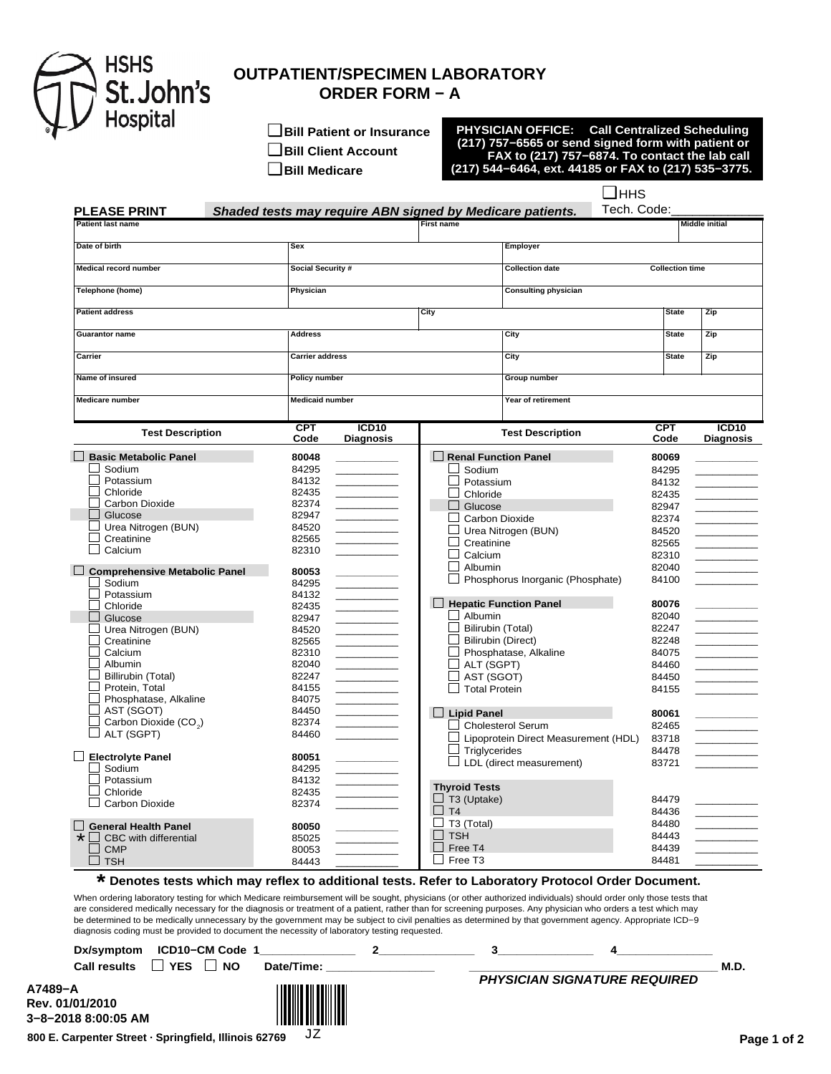

## **OUTPATIENT/SPECIMEN LABORATORY ORDER FORM − A**

❑ **Bill Patient or Insurance** ❑ **Bill Client Account**

❑ **Bill Medicare**

**PHYSICIAN OFFICE: Call Centralized Scheduling (217) 757−6565 or send signed form with patient or FAX to (217) 757−6874. To contact the lab call (217) 544−6464, ext. 44185 or FAX to (217) 535−3775.**

> ❑ HHS Tech. Code:\_\_\_\_\_\_\_\_\_\_\_\_\_

| <b>PLEASE PRINT</b>                  | Shaded tests may require ABN signed by Medicare patients. |                        |                                |                                                  | Tech. Code:  |                                                                                         |
|--------------------------------------|-----------------------------------------------------------|------------------------|--------------------------------|--------------------------------------------------|--------------|-----------------------------------------------------------------------------------------|
| <b>Patient last name</b>             |                                                           |                        | <b>First name</b>              |                                                  |              | <b>Middle initial</b>                                                                   |
| Date of birth                        | <b>Sex</b>                                                |                        |                                | Employer                                         |              |                                                                                         |
| <b>Medical record number</b>         |                                                           | Social Security #      |                                | <b>Collection date</b><br><b>Collection time</b> |              |                                                                                         |
| Telephone (home)                     | Physician                                                 |                        |                                | <b>Consulting physician</b>                      |              |                                                                                         |
| <b>Patient address</b>               |                                                           |                        | City                           |                                                  | <b>State</b> | Zip                                                                                     |
|                                      |                                                           |                        |                                |                                                  |              |                                                                                         |
| <b>Guarantor name</b>                | <b>Address</b>                                            |                        |                                | City                                             | <b>State</b> | Zip                                                                                     |
| Carrier                              | <b>Carrier address</b>                                    |                        | City                           |                                                  | <b>State</b> | Zip                                                                                     |
| Name of insured                      | <b>Policy number</b>                                      |                        |                                | <b>Group number</b>                              |              |                                                                                         |
| <b>Medicare number</b>               |                                                           | <b>Medicaid number</b> |                                | Year of retirement                               |              |                                                                                         |
|                                      | <b>CPT</b>                                                | ICD <sub>10</sub>      |                                | <b>Test Description</b>                          | <b>CPT</b>   | ICD10                                                                                   |
| <b>Test Description</b>              | Code                                                      | <b>Diagnosis</b>       |                                |                                                  | Code         | <b>Diagnosis</b>                                                                        |
| <b>Basic Metabolic Panel</b>         | 80048                                                     |                        | $\Box$ Renal Function Panel    |                                                  | 80069        |                                                                                         |
| Sodium                               | 84295                                                     |                        | Sodium                         |                                                  | 84295        |                                                                                         |
| Potassium                            | 84132                                                     |                        | $\mathsf{L}$<br>Potassium      |                                                  | 84132        |                                                                                         |
| Chloride                             | 82435                                                     |                        | Chloride<br>$\blacksquare$     |                                                  | 82435        |                                                                                         |
| Carbon Dioxide                       | 82374                                                     |                        | $\Box$<br>Glucose              |                                                  | 82947        |                                                                                         |
| Glucose                              | 82947                                                     |                        | Carbon Dioxide<br>$\mathsf{L}$ |                                                  | 82374        |                                                                                         |
| Urea Nitrogen (BUN)                  | 84520                                                     |                        |                                | Urea Nitrogen (BUN)                              | 84520        |                                                                                         |
| Creatinine                           | 82565                                                     |                        | Creatinine                     |                                                  | 82565        |                                                                                         |
| Calcium                              | 82310                                                     |                        | Calcium                        |                                                  | 82310        |                                                                                         |
| <b>Comprehensive Metabolic Panel</b> | 80053                                                     |                        | Albumin                        |                                                  | 82040        |                                                                                         |
| Sodium                               | 84295                                                     |                        |                                | Phosphorus Inorganic (Phosphate)                 | 84100        |                                                                                         |
| Potassium                            | 84132                                                     |                        |                                |                                                  |              |                                                                                         |
| Chloride                             | 82435                                                     |                        | $\Box$ Hepatic Function Panel  |                                                  | 80076        |                                                                                         |
| Glucose                              | 82947                                                     |                        | $\Box$ Albumin                 |                                                  | 82040        |                                                                                         |
| Urea Nitrogen (BUN)                  | 84520                                                     |                        | Bilirubin (Total)              |                                                  | 82247        |                                                                                         |
| Creatinine                           | 82565                                                     |                        | <b>Bilirubin (Direct)</b>      |                                                  | 82248        |                                                                                         |
| Calcium                              | 82310                                                     |                        |                                | Phosphatase, Alkaline                            | 84075        |                                                                                         |
| Albumin                              | 82040                                                     |                        | $\exists$ ALT (SGPT)           |                                                  | 84460        |                                                                                         |
| Billirubin (Total)                   | 82247                                                     |                        | AST (SGOT)                     |                                                  | 84450        |                                                                                         |
| Protein, Total                       | 84155                                                     |                        | $\Box$ Total Protein           |                                                  | 84155        |                                                                                         |
| Phosphatase, Alkaline                | 84075                                                     |                        |                                |                                                  |              |                                                                                         |
| AST (SGOT)                           | 84450                                                     |                        | $\Box$ Lipid Panel             |                                                  | 80061        |                                                                                         |
| Carbon Dioxide (CO <sub>2</sub> )    | 82374                                                     |                        |                                | <b>Cholesterol Serum</b>                         | 82465        |                                                                                         |
| ALT (SGPT)                           | 84460                                                     |                        |                                |                                                  |              | $\mathcal{L}^{\text{max}}_{\text{max}}$ , where $\mathcal{L}^{\text{max}}_{\text{max}}$ |
|                                      |                                                           |                        |                                | Lipoprotein Direct Measurement (HDL)             | 83718        |                                                                                         |
| $\Box$ Electrolyte Panel             | 80051                                                     |                        | $\Box$ Triglycerides           |                                                  | 84478        |                                                                                         |
| Sodium                               | 84295                                                     |                        |                                | $\Box$ LDL (direct measurement)                  | 83721        |                                                                                         |
| Potassium                            | 84132                                                     |                        |                                |                                                  |              |                                                                                         |
| Chloride                             | 82435                                                     |                        | <b>Thyroid Tests</b>           |                                                  |              |                                                                                         |
| Carbon Dioxide                       | 82374                                                     |                        | T3 (Uptake)                    |                                                  | 84479        |                                                                                         |
|                                      |                                                           |                        | T <sub>4</sub>                 |                                                  | 84436        | $\mathcal{L}^{\text{max}}_{\text{max}}$                                                 |
| <b>General Health Panel</b>          | 80050                                                     |                        | T3 (Total)                     |                                                  | 84480        |                                                                                         |
| $\star$<br>CBC with differential     | 85025                                                     |                        | <b>TSH</b>                     |                                                  | 84443        |                                                                                         |
| <b>CMP</b>                           | 80053                                                     |                        | Free T4                        |                                                  | 84439        |                                                                                         |
| $\sqcup$ TSH                         | 84443                                                     |                        | Free T3                        |                                                  | 84481        |                                                                                         |

## **\* Denotes tests which may reflex to additional tests. Refer to Laboratory Protocol Order Document.**

When ordering laboratory testing for which Medicare reimbursement will be sought, physicians (or other authorized individuals) should order only those tests that are considered medically necessary for the diagnosis or treatment of a patient, rather than for screening purposes. Any physician who orders a test which may be determined to be medically unnecessary by the government may be subject to civil penalties as determined by that government agency. Appropriate ICD−9 diagnosis coding must be provided to document the necessity of laboratory testing requested.

|                                                   | Dx/symptom ICD10-CM Code 1 |            |  |                                     |      |
|---------------------------------------------------|----------------------------|------------|--|-------------------------------------|------|
| <b>Call results</b>                               | <b>YES</b><br><b>NO</b>    | Date/Time: |  |                                     | M.D. |
| A7489-A<br>Rev. 01/01/2010<br>3-8-2018 8:00:05 AM |                            |            |  | <b>PHYSICIAN SIGNATURE REQUIRED</b> |      |

JZ

**800 E. Carpenter Street · Springfield, Illinois 62769**